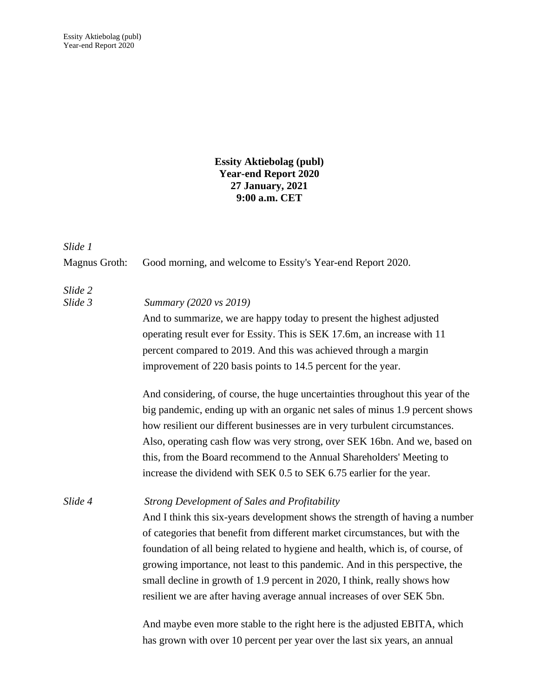## **Essity Aktiebolag (publ) Year-end Report 2020 27 January, 2021 9:00 a.m. CET**

*Slide 1*

| <b>Magnus Groth:</b> | Good morning, and welcome to Essity's Year-end Report 2020.                                                                                                                                                                                                                                                                                                                                                                                                                                                                                    |
|----------------------|------------------------------------------------------------------------------------------------------------------------------------------------------------------------------------------------------------------------------------------------------------------------------------------------------------------------------------------------------------------------------------------------------------------------------------------------------------------------------------------------------------------------------------------------|
| Slide 2<br>Slide 3   | Summary (2020 vs 2019)<br>And to summarize, we are happy today to present the highest adjusted<br>operating result ever for Essity. This is SEK 17.6m, an increase with 11<br>percent compared to 2019. And this was achieved through a margin<br>improvement of 220 basis points to 14.5 percent for the year.                                                                                                                                                                                                                                |
|                      | And considering, of course, the huge uncertainties throughout this year of the<br>big pandemic, ending up with an organic net sales of minus 1.9 percent shows<br>how resilient our different businesses are in very turbulent circumstances.<br>Also, operating cash flow was very strong, over SEK 16bn. And we, based on<br>this, from the Board recommend to the Annual Shareholders' Meeting to<br>increase the dividend with SEK 0.5 to SEK 6.75 earlier for the year.                                                                   |
| Slide 4              | <b>Strong Development of Sales and Profitability</b><br>And I think this six-years development shows the strength of having a number<br>of categories that benefit from different market circumstances, but with the<br>foundation of all being related to hygiene and health, which is, of course, of<br>growing importance, not least to this pandemic. And in this perspective, the<br>small decline in growth of 1.9 percent in 2020, I think, really shows how<br>resilient we are after having average annual increases of over SEK 5bn. |

And maybe even more stable to the right here is the adjusted EBITA, which has grown with over 10 percent per year over the last six years, an annual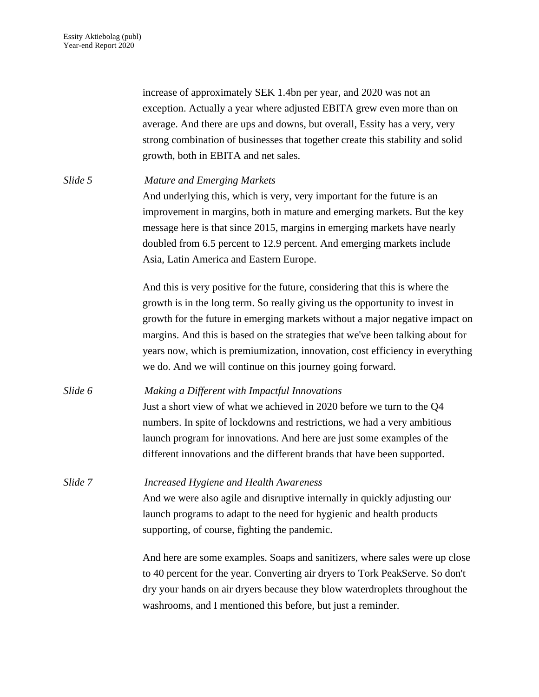increase of approximately SEK 1.4bn per year, and 2020 was not an exception. Actually a year where adjusted EBITA grew even more than on average. And there are ups and downs, but overall, Essity has a very, very strong combination of businesses that together create this stability and solid growth, both in EBITA and net sales.

| Slide 5 | <b>Mature and Emerging Markets</b>                                             |
|---------|--------------------------------------------------------------------------------|
|         | And underlying this, which is very, very important for the future is an        |
|         | improvement in margins, both in mature and emerging markets. But the key       |
|         |                                                                                |
|         | message here is that since 2015, margins in emerging markets have nearly       |
|         | doubled from 6.5 percent to 12.9 percent. And emerging markets include         |
|         | Asia, Latin America and Eastern Europe.                                        |
|         | And this is very positive for the future, considering that this is where the   |
|         | growth is in the long term. So really giving us the opportunity to invest in   |
|         | growth for the future in emerging markets without a major negative impact on   |
|         | margins. And this is based on the strategies that we've been talking about for |
|         | years now, which is premiumization, innovation, cost efficiency in everything  |
|         | we do. And we will continue on this journey going forward.                     |
| Slide 6 | Making a Different with Impactful Innovations                                  |
|         | Just a short view of what we achieved in 2020 before we turn to the Q4         |
|         | numbers. In spite of lockdowns and restrictions, we had a very ambitious       |
|         | launch program for innovations. And here are just some examples of the         |
|         | different innovations and the different brands that have been supported.       |
| Slide 7 | <b>Increased Hygiene and Health Awareness</b>                                  |
|         | And we were also agile and disruptive internally in quickly adjusting our      |
|         | launch programs to adapt to the need for hygienic and health products          |
|         |                                                                                |
|         | supporting, of course, fighting the pandemic.                                  |
|         | And here are some examples. Soaps and sanitizers, where sales were up close    |
|         | to 40 percent for the year. Converting air dryers to Tork PeakServe. So don't  |
|         | dry your hands on air dryers because they blow waterdroplets throughout the    |

washrooms, and I mentioned this before, but just a reminder.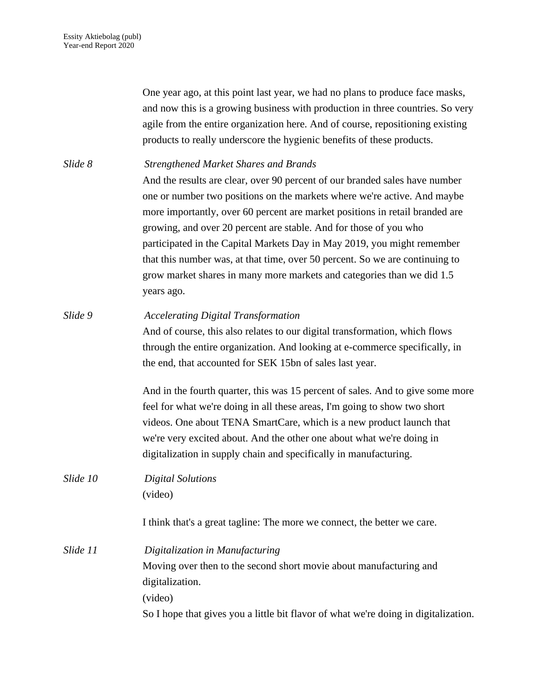One year ago, at this point last year, we had no plans to produce face masks, and now this is a growing business with production in three countries. So very agile from the entire organization here. And of course, repositioning existing products to really underscore the hygienic benefits of these products.

| Slide 8  | <b>Strengthened Market Shares and Brands</b>                                        |
|----------|-------------------------------------------------------------------------------------|
|          | And the results are clear, over 90 percent of our branded sales have number         |
|          | one or number two positions on the markets where we're active. And maybe            |
|          | more importantly, over 60 percent are market positions in retail branded are        |
|          | growing, and over 20 percent are stable. And for those of you who                   |
|          | participated in the Capital Markets Day in May 2019, you might remember             |
|          | that this number was, at that time, over 50 percent. So we are continuing to        |
|          | grow market shares in many more markets and categories than we did 1.5              |
|          | years ago.                                                                          |
| Slide 9  | <b>Accelerating Digital Transformation</b>                                          |
|          | And of course, this also relates to our digital transformation, which flows         |
|          | through the entire organization. And looking at e-commerce specifically, in         |
|          | the end, that accounted for SEK 15bn of sales last year.                            |
|          | And in the fourth quarter, this was 15 percent of sales. And to give some more      |
|          | feel for what we're doing in all these areas, I'm going to show two short           |
|          | videos. One about TENA SmartCare, which is a new product launch that                |
|          | we're very excited about. And the other one about what we're doing in               |
|          | digitalization in supply chain and specifically in manufacturing.                   |
| Slide 10 | <b>Digital Solutions</b>                                                            |
|          | (video)                                                                             |
|          | I think that's a great tagline: The more we connect, the better we care.            |
| Slide 11 | Digitalization in Manufacturing                                                     |
|          | Moving over then to the second short movie about manufacturing and                  |
|          | digitalization.                                                                     |
|          | (video)                                                                             |
|          | So I hope that gives you a little bit flavor of what we're doing in digitalization. |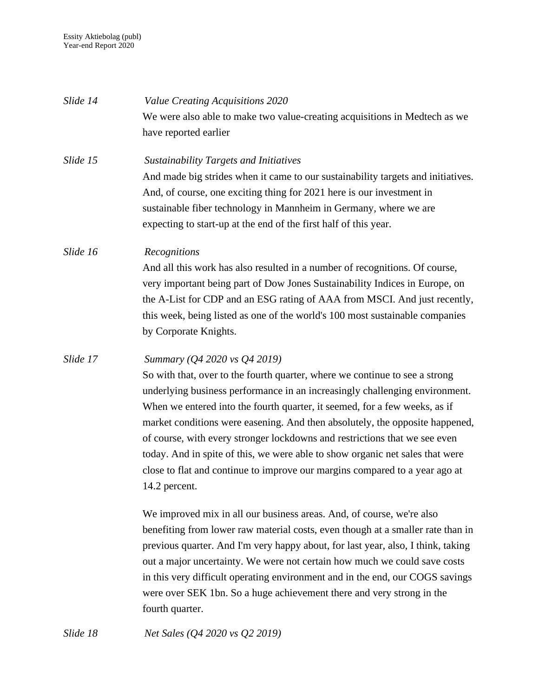| Slide 14 | Value Creating Acquisitions 2020                                                 |
|----------|----------------------------------------------------------------------------------|
|          | We were also able to make two value-creating acquisitions in Medtech as we       |
|          | have reported earlier                                                            |
| Slide 15 | <b>Sustainability Targets and Initiatives</b>                                    |
|          | And made big strides when it came to our sustainability targets and initiatives. |
|          | And, of course, one exciting thing for 2021 here is our investment in            |
|          | sustainable fiber technology in Mannheim in Germany, where we are                |
|          | expecting to start-up at the end of the first half of this year.                 |
| Slide 16 | Recognitions                                                                     |
|          | And all this work has also resulted in a number of recognitions. Of course,      |
|          | very important being part of Dow Jones Sustainability Indices in Europe, on      |
|          | the A-List for CDP and an ESG rating of AAA from MSCI. And just recently,        |
|          | this week, being listed as one of the world's 100 most sustainable companies     |
|          | by Corporate Knights.                                                            |
| Slide 17 | Summary (Q4 2020 vs Q4 2019)                                                     |
|          | So with that, over to the fourth quarter, where we continue to see a strong      |
|          | underlying business performance in an increasingly challenging environment.      |
|          | When we entered into the fourth quarter, it seemed, for a few weeks, as if       |
|          | market conditions were easening. And then absolutely, the opposite happened,     |
|          | of course, with every stronger lockdowns and restrictions that we see even       |
|          | today. And in spite of this, we were able to show organic net sales that were    |
|          | close to flat and continue to improve our margins compared to a year ago at      |
|          | 14.2 percent.                                                                    |
|          | We improved mix in all our business areas. And, of course, we're also            |
|          | benefiting from lower raw material costs, even though at a smaller rate than in  |
|          | previous quarter. And I'm very happy about, for last year, also, I think, taking |
|          | out a major uncertainty. We were not certain how much we could save costs        |
|          | in this very difficult operating environment and in the end, our COGS savings    |
|          | were over SEK 1bn. So a huge achievement there and very strong in the            |
|          | fourth quarter.                                                                  |
| Slide 18 | Net Sales (Q4 2020 vs Q2 2019)                                                   |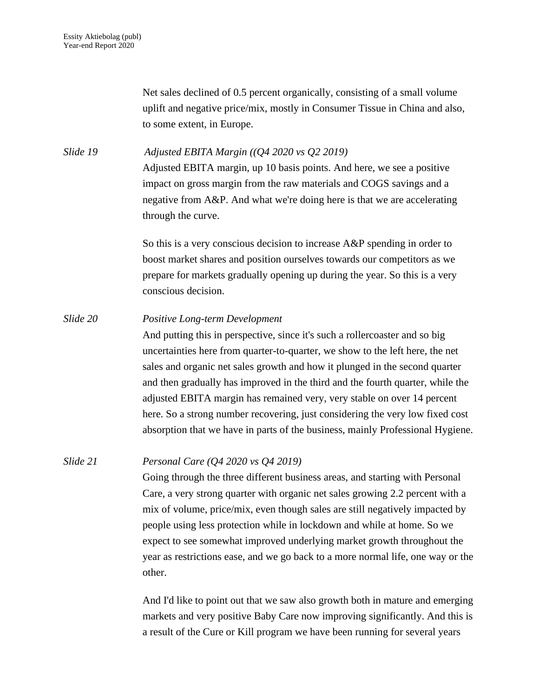Net sales declined of 0.5 percent organically, consisting of a small volume uplift and negative price/mix, mostly in Consumer Tissue in China and also, to some extent, in Europe.

*Slide 19 Adjusted EBITA Margin ((Q4 2020 vs Q2 2019)* Adjusted EBITA margin, up 10 basis points. And here, we see a positive impact on gross margin from the raw materials and COGS savings and a negative from A&P. And what we're doing here is that we are accelerating through the curve.

> So this is a very conscious decision to increase A&P spending in order to boost market shares and position ourselves towards our competitors as we prepare for markets gradually opening up during the year. So this is a very conscious decision.

## *Slide 20 Positive Long-term Development*

And putting this in perspective, since it's such a rollercoaster and so big uncertainties here from quarter-to-quarter, we show to the left here, the net sales and organic net sales growth and how it plunged in the second quarter and then gradually has improved in the third and the fourth quarter, while the adjusted EBITA margin has remained very, very stable on over 14 percent here. So a strong number recovering, just considering the very low fixed cost absorption that we have in parts of the business, mainly Professional Hygiene.

## *Slide 21 Personal Care (Q4 2020 vs Q4 2019)*

Going through the three different business areas, and starting with Personal Care, a very strong quarter with organic net sales growing 2.2 percent with a mix of volume, price/mix, even though sales are still negatively impacted by people using less protection while in lockdown and while at home. So we expect to see somewhat improved underlying market growth throughout the year as restrictions ease, and we go back to a more normal life, one way or the other.

And I'd like to point out that we saw also growth both in mature and emerging markets and very positive Baby Care now improving significantly. And this is a result of the Cure or Kill program we have been running for several years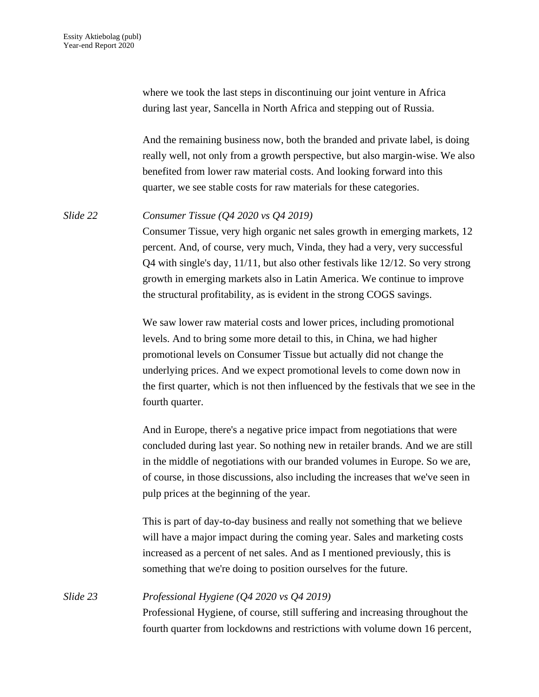where we took the last steps in discontinuing our joint venture in Africa during last year, Sancella in North Africa and stepping out of Russia.

And the remaining business now, both the branded and private label, is doing really well, not only from a growth perspective, but also margin-wise. We also benefited from lower raw material costs. And looking forward into this quarter, we see stable costs for raw materials for these categories.

*Slide 22 Consumer Tissue (Q4 2020 vs Q4 2019)*

Consumer Tissue, very high organic net sales growth in emerging markets, 12 percent. And, of course, very much, Vinda, they had a very, very successful Q4 with single's day, 11/11, but also other festivals like 12/12. So very strong growth in emerging markets also in Latin America. We continue to improve the structural profitability, as is evident in the strong COGS savings.

We saw lower raw material costs and lower prices, including promotional levels. And to bring some more detail to this, in China, we had higher promotional levels on Consumer Tissue but actually did not change the underlying prices. And we expect promotional levels to come down now in the first quarter, which is not then influenced by the festivals that we see in the fourth quarter.

And in Europe, there's a negative price impact from negotiations that were concluded during last year. So nothing new in retailer brands. And we are still in the middle of negotiations with our branded volumes in Europe. So we are, of course, in those discussions, also including the increases that we've seen in pulp prices at the beginning of the year.

This is part of day-to-day business and really not something that we believe will have a major impact during the coming year. Sales and marketing costs increased as a percent of net sales. And as I mentioned previously, this is something that we're doing to position ourselves for the future.

*Slide 23 Professional Hygiene (Q4 2020 vs Q4 2019)* Professional Hygiene, of course, still suffering and increasing throughout the fourth quarter from lockdowns and restrictions with volume down 16 percent,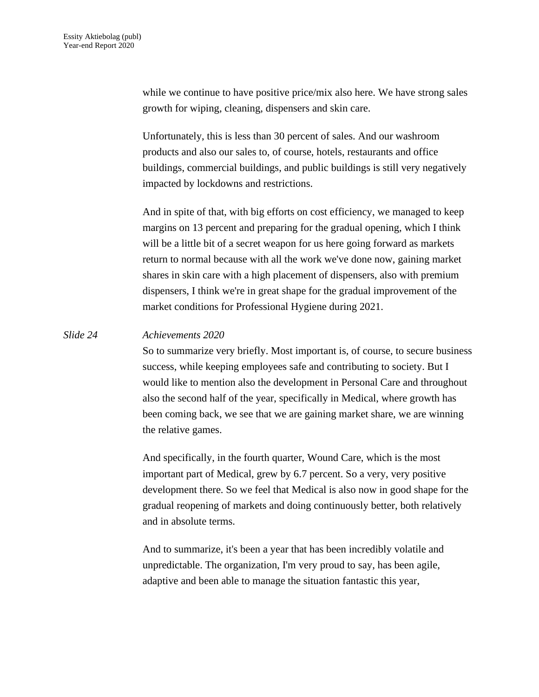while we continue to have positive price/mix also here. We have strong sales growth for wiping, cleaning, dispensers and skin care.

Unfortunately, this is less than 30 percent of sales. And our washroom products and also our sales to, of course, hotels, restaurants and office buildings, commercial buildings, and public buildings is still very negatively impacted by lockdowns and restrictions.

And in spite of that, with big efforts on cost efficiency, we managed to keep margins on 13 percent and preparing for the gradual opening, which I think will be a little bit of a secret weapon for us here going forward as markets return to normal because with all the work we've done now, gaining market shares in skin care with a high placement of dispensers, also with premium dispensers, I think we're in great shape for the gradual improvement of the market conditions for Professional Hygiene during 2021.

## *Slide 24 Achievements 2020*

So to summarize very briefly. Most important is, of course, to secure business success, while keeping employees safe and contributing to society. But I would like to mention also the development in Personal Care and throughout also the second half of the year, specifically in Medical, where growth has been coming back, we see that we are gaining market share, we are winning the relative games.

And specifically, in the fourth quarter, Wound Care, which is the most important part of Medical, grew by 6.7 percent. So a very, very positive development there. So we feel that Medical is also now in good shape for the gradual reopening of markets and doing continuously better, both relatively and in absolute terms.

And to summarize, it's been a year that has been incredibly volatile and unpredictable. The organization, I'm very proud to say, has been agile, adaptive and been able to manage the situation fantastic this year,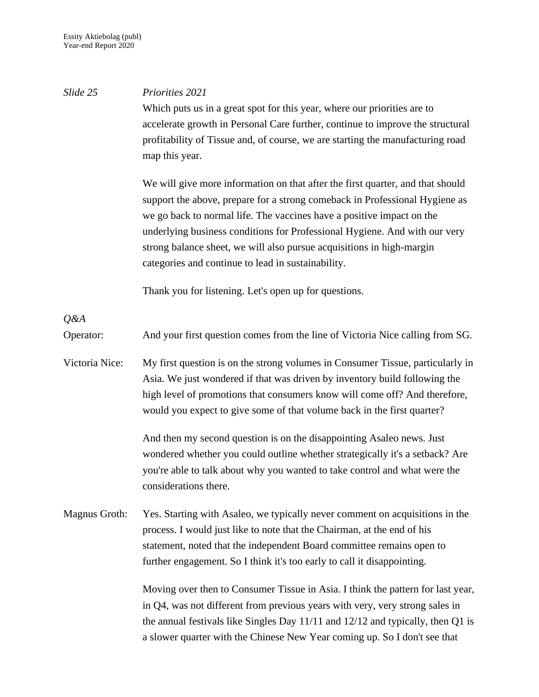| Slide 25             | Priorities 2021                                                                                                                                                                                                                                                                                                                                                                                                                                     |
|----------------------|-----------------------------------------------------------------------------------------------------------------------------------------------------------------------------------------------------------------------------------------------------------------------------------------------------------------------------------------------------------------------------------------------------------------------------------------------------|
|                      | Which puts us in a great spot for this year, where our priorities are to<br>accelerate growth in Personal Care further, continue to improve the structural<br>profitability of Tissue and, of course, we are starting the manufacturing road                                                                                                                                                                                                        |
|                      | map this year.                                                                                                                                                                                                                                                                                                                                                                                                                                      |
|                      | We will give more information on that after the first quarter, and that should<br>support the above, prepare for a strong comeback in Professional Hygiene as<br>we go back to normal life. The vaccines have a positive impact on the<br>underlying business conditions for Professional Hygiene. And with our very<br>strong balance sheet, we will also pursue acquisitions in high-margin<br>categories and continue to lead in sustainability. |
|                      | Thank you for listening. Let's open up for questions.                                                                                                                                                                                                                                                                                                                                                                                               |
| Q&A                  |                                                                                                                                                                                                                                                                                                                                                                                                                                                     |
| Operator:            | And your first question comes from the line of Victoria Nice calling from SG.                                                                                                                                                                                                                                                                                                                                                                       |
| Victoria Nice:       | My first question is on the strong volumes in Consumer Tissue, particularly in<br>Asia. We just wondered if that was driven by inventory build following the<br>high level of promotions that consumers know will come off? And therefore,<br>would you expect to give some of that volume back in the first quarter?                                                                                                                               |
|                      | And then my second question is on the disappointing Asaleo news. Just<br>wondered whether you could outline whether strategically it's a setback? Are<br>you're able to talk about why you wanted to take control and what were the<br>considerations there.                                                                                                                                                                                        |
| <b>Magnus Groth:</b> | Yes. Starting with Asaleo, we typically never comment on acquisitions in the<br>process. I would just like to note that the Chairman, at the end of his<br>statement, noted that the independent Board committee remains open to<br>further engagement. So I think it's too early to call it disappointing.                                                                                                                                         |
|                      | Moving over then to Consumer Tissue in Asia. I think the pattern for last year,<br>in Q4, was not different from previous years with very, very strong sales in<br>the annual festivals like Singles Day $11/11$ and $12/12$ and typically, then Q1 is<br>a slower quarter with the Chinese New Year coming up. So I don't see that                                                                                                                 |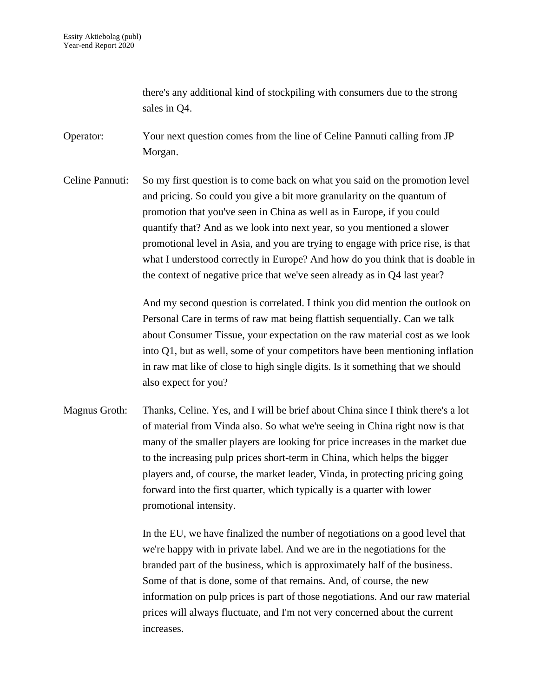there's any additional kind of stockpiling with consumers due to the strong sales in Q4.

Operator: Your next question comes from the line of Celine Pannuti calling from JP Morgan.

Celine Pannuti: So my first question is to come back on what you said on the promotion level and pricing. So could you give a bit more granularity on the quantum of promotion that you've seen in China as well as in Europe, if you could quantify that? And as we look into next year, so you mentioned a slower promotional level in Asia, and you are trying to engage with price rise, is that what I understood correctly in Europe? And how do you think that is doable in the context of negative price that we've seen already as in Q4 last year?

> And my second question is correlated. I think you did mention the outlook on Personal Care in terms of raw mat being flattish sequentially. Can we talk about Consumer Tissue, your expectation on the raw material cost as we look into Q1, but as well, some of your competitors have been mentioning inflation in raw mat like of close to high single digits. Is it something that we should also expect for you?

Magnus Groth: Thanks, Celine. Yes, and I will be brief about China since I think there's a lot of material from Vinda also. So what we're seeing in China right now is that many of the smaller players are looking for price increases in the market due to the increasing pulp prices short-term in China, which helps the bigger players and, of course, the market leader, Vinda, in protecting pricing going forward into the first quarter, which typically is a quarter with lower promotional intensity.

> In the EU, we have finalized the number of negotiations on a good level that we're happy with in private label. And we are in the negotiations for the branded part of the business, which is approximately half of the business. Some of that is done, some of that remains. And, of course, the new information on pulp prices is part of those negotiations. And our raw material prices will always fluctuate, and I'm not very concerned about the current increases.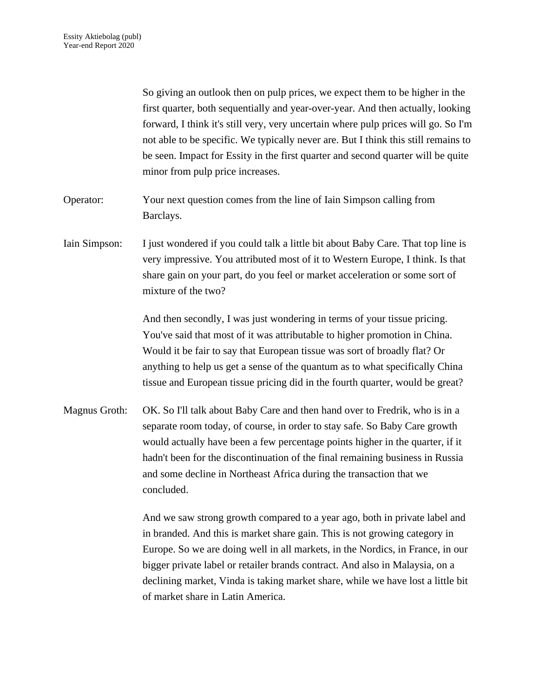So giving an outlook then on pulp prices, we expect them to be higher in the first quarter, both sequentially and year-over-year. And then actually, looking forward, I think it's still very, very uncertain where pulp prices will go. So I'm not able to be specific. We typically never are. But I think this still remains to be seen. Impact for Essity in the first quarter and second quarter will be quite minor from pulp price increases.

- Operator: Your next question comes from the line of Iain Simpson calling from Barclays.
- Iain Simpson: I just wondered if you could talk a little bit about Baby Care. That top line is very impressive. You attributed most of it to Western Europe, I think. Is that share gain on your part, do you feel or market acceleration or some sort of mixture of the two?

And then secondly, I was just wondering in terms of your tissue pricing. You've said that most of it was attributable to higher promotion in China. Would it be fair to say that European tissue was sort of broadly flat? Or anything to help us get a sense of the quantum as to what specifically China tissue and European tissue pricing did in the fourth quarter, would be great?

Magnus Groth: OK. So I'll talk about Baby Care and then hand over to Fredrik, who is in a separate room today, of course, in order to stay safe. So Baby Care growth would actually have been a few percentage points higher in the quarter, if it hadn't been for the discontinuation of the final remaining business in Russia and some decline in Northeast Africa during the transaction that we concluded.

> And we saw strong growth compared to a year ago, both in private label and in branded. And this is market share gain. This is not growing category in Europe. So we are doing well in all markets, in the Nordics, in France, in our bigger private label or retailer brands contract. And also in Malaysia, on a declining market, Vinda is taking market share, while we have lost a little bit of market share in Latin America.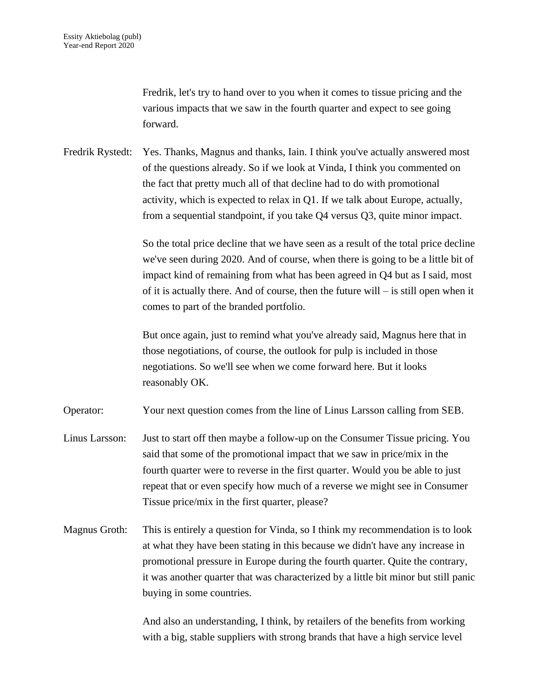Fredrik, let's try to hand over to you when it comes to tissue pricing and the various impacts that we saw in the fourth quarter and expect to see going forward.

Fredrik Rystedt: Yes. Thanks, Magnus and thanks, Iain. I think you've actually answered most of the questions already. So if we look at Vinda, I think you commented on the fact that pretty much all of that decline had to do with promotional activity, which is expected to relax in Q1. If we talk about Europe, actually, from a sequential standpoint, if you take Q4 versus Q3, quite minor impact.

> So the total price decline that we have seen as a result of the total price decline we've seen during 2020. And of course, when there is going to be a little bit of impact kind of remaining from what has been agreed in Q4 but as I said, most of it is actually there. And of course, then the future will – is still open when it comes to part of the branded portfolio.

But once again, just to remind what you've already said, Magnus here that in those negotiations, of course, the outlook for pulp is included in those negotiations. So we'll see when we come forward here. But it looks reasonably OK.

Operator: Your next question comes from the line of Linus Larsson calling from SEB.

- Linus Larsson: Just to start off then maybe a follow-up on the Consumer Tissue pricing. You said that some of the promotional impact that we saw in price/mix in the fourth quarter were to reverse in the first quarter. Would you be able to just repeat that or even specify how much of a reverse we might see in Consumer Tissue price/mix in the first quarter, please?
- Magnus Groth: This is entirely a question for Vinda, so I think my recommendation is to look at what they have been stating in this because we didn't have any increase in promotional pressure in Europe during the fourth quarter. Quite the contrary, it was another quarter that was characterized by a little bit minor but still panic buying in some countries.

And also an understanding, I think, by retailers of the benefits from working with a big, stable suppliers with strong brands that have a high service level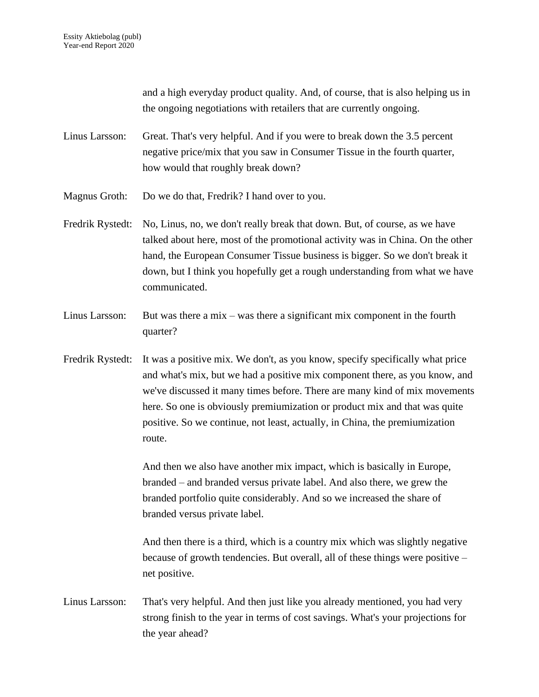and a high everyday product quality. And, of course, that is also helping us in the ongoing negotiations with retailers that are currently ongoing.

- Linus Larsson: Great. That's very helpful. And if you were to break down the 3.5 percent negative price/mix that you saw in Consumer Tissue in the fourth quarter, how would that roughly break down?
- Magnus Groth: Do we do that, Fredrik? I hand over to you.
- Fredrik Rystedt: No, Linus, no, we don't really break that down. But, of course, as we have talked about here, most of the promotional activity was in China. On the other hand, the European Consumer Tissue business is bigger. So we don't break it down, but I think you hopefully get a rough understanding from what we have communicated.
- Linus Larsson: But was there a mix was there a significant mix component in the fourth quarter?
- Fredrik Rystedt: It was a positive mix. We don't, as you know, specify specifically what price and what's mix, but we had a positive mix component there, as you know, and we've discussed it many times before. There are many kind of mix movements here. So one is obviously premiumization or product mix and that was quite positive. So we continue, not least, actually, in China, the premiumization route.

And then we also have another mix impact, which is basically in Europe, branded – and branded versus private label. And also there, we grew the branded portfolio quite considerably. And so we increased the share of branded versus private label.

And then there is a third, which is a country mix which was slightly negative because of growth tendencies. But overall, all of these things were positive – net positive.

Linus Larsson: That's very helpful. And then just like you already mentioned, you had very strong finish to the year in terms of cost savings. What's your projections for the year ahead?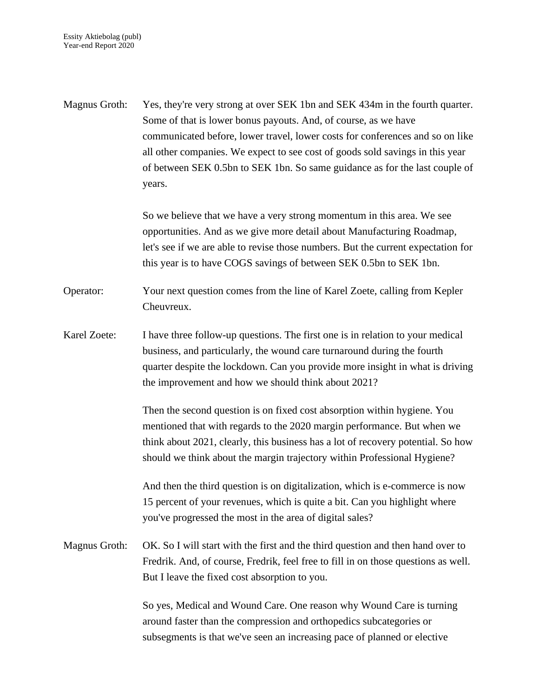Magnus Groth: Yes, they're very strong at over SEK 1bn and SEK 434m in the fourth quarter. Some of that is lower bonus payouts. And, of course, as we have communicated before, lower travel, lower costs for conferences and so on like all other companies. We expect to see cost of goods sold savings in this year of between SEK 0.5bn to SEK 1bn. So same guidance as for the last couple of years.

> So we believe that we have a very strong momentum in this area. We see opportunities. And as we give more detail about Manufacturing Roadmap, let's see if we are able to revise those numbers. But the current expectation for this year is to have COGS savings of between SEK 0.5bn to SEK 1bn.

- Operator: Your next question comes from the line of Karel Zoete, calling from Kepler Cheuvreux.
- Karel Zoete: I have three follow-up questions. The first one is in relation to your medical business, and particularly, the wound care turnaround during the fourth quarter despite the lockdown. Can you provide more insight in what is driving the improvement and how we should think about 2021?

Then the second question is on fixed cost absorption within hygiene. You mentioned that with regards to the 2020 margin performance. But when we think about 2021, clearly, this business has a lot of recovery potential. So how should we think about the margin trajectory within Professional Hygiene?

And then the third question is on digitalization, which is e-commerce is now 15 percent of your revenues, which is quite a bit. Can you highlight where you've progressed the most in the area of digital sales?

Magnus Groth: OK. So I will start with the first and the third question and then hand over to Fredrik. And, of course, Fredrik, feel free to fill in on those questions as well. But I leave the fixed cost absorption to you.

> So yes, Medical and Wound Care. One reason why Wound Care is turning around faster than the compression and orthopedics subcategories or subsegments is that we've seen an increasing pace of planned or elective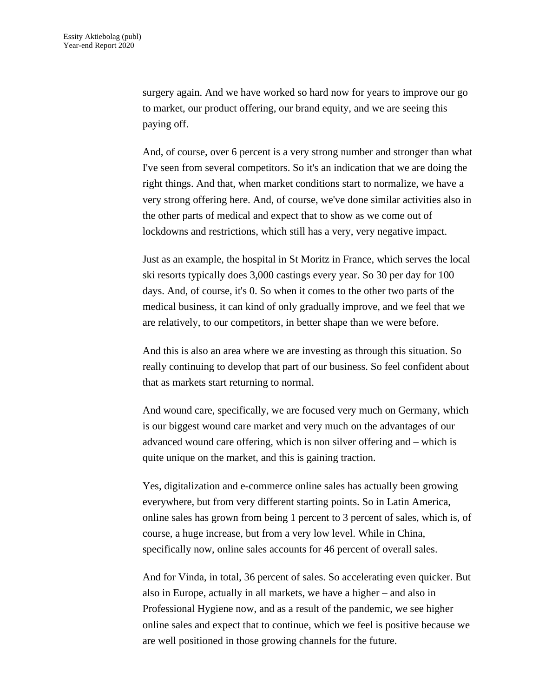surgery again. And we have worked so hard now for years to improve our go to market, our product offering, our brand equity, and we are seeing this paying off.

And, of course, over 6 percent is a very strong number and stronger than what I've seen from several competitors. So it's an indication that we are doing the right things. And that, when market conditions start to normalize, we have a very strong offering here. And, of course, we've done similar activities also in the other parts of medical and expect that to show as we come out of lockdowns and restrictions, which still has a very, very negative impact.

Just as an example, the hospital in St Moritz in France, which serves the local ski resorts typically does 3,000 castings every year. So 30 per day for 100 days. And, of course, it's 0. So when it comes to the other two parts of the medical business, it can kind of only gradually improve, and we feel that we are relatively, to our competitors, in better shape than we were before.

And this is also an area where we are investing as through this situation. So really continuing to develop that part of our business. So feel confident about that as markets start returning to normal.

And wound care, specifically, we are focused very much on Germany, which is our biggest wound care market and very much on the advantages of our advanced wound care offering, which is non silver offering and – which is quite unique on the market, and this is gaining traction.

Yes, digitalization and e-commerce online sales has actually been growing everywhere, but from very different starting points. So in Latin America, online sales has grown from being 1 percent to 3 percent of sales, which is, of course, a huge increase, but from a very low level. While in China, specifically now, online sales accounts for 46 percent of overall sales.

And for Vinda, in total, 36 percent of sales. So accelerating even quicker. But also in Europe, actually in all markets, we have a higher – and also in Professional Hygiene now, and as a result of the pandemic, we see higher online sales and expect that to continue, which we feel is positive because we are well positioned in those growing channels for the future.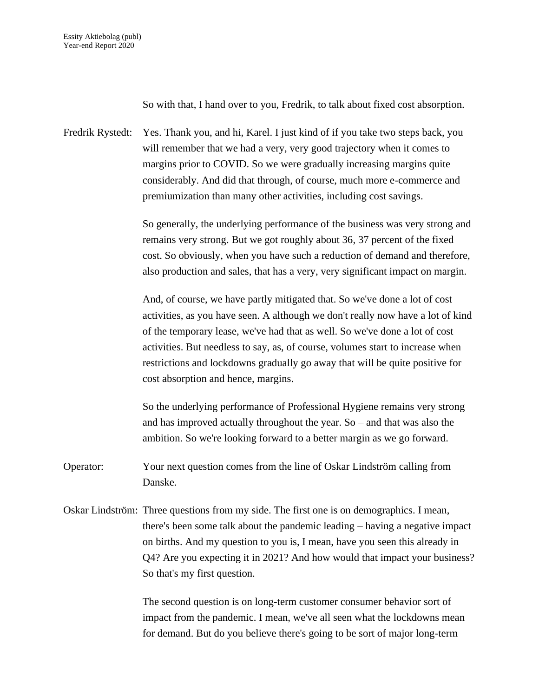So with that, I hand over to you, Fredrik, to talk about fixed cost absorption.

Fredrik Rystedt: Yes. Thank you, and hi, Karel. I just kind of if you take two steps back, you will remember that we had a very, very good trajectory when it comes to margins prior to COVID. So we were gradually increasing margins quite considerably. And did that through, of course, much more e-commerce and premiumization than many other activities, including cost savings.

> So generally, the underlying performance of the business was very strong and remains very strong. But we got roughly about 36, 37 percent of the fixed cost. So obviously, when you have such a reduction of demand and therefore, also production and sales, that has a very, very significant impact on margin.

> And, of course, we have partly mitigated that. So we've done a lot of cost activities, as you have seen. A although we don't really now have a lot of kind of the temporary lease, we've had that as well. So we've done a lot of cost activities. But needless to say, as, of course, volumes start to increase when restrictions and lockdowns gradually go away that will be quite positive for cost absorption and hence, margins.

So the underlying performance of Professional Hygiene remains very strong and has improved actually throughout the year. So – and that was also the ambition. So we're looking forward to a better margin as we go forward.

- Operator: Your next question comes from the line of Oskar Lindström calling from Danske.
- Oskar Lindström: Three questions from my side. The first one is on demographics. I mean, there's been some talk about the pandemic leading – having a negative impact on births. And my question to you is, I mean, have you seen this already in Q4? Are you expecting it in 2021? And how would that impact your business? So that's my first question.

The second question is on long-term customer consumer behavior sort of impact from the pandemic. I mean, we've all seen what the lockdowns mean for demand. But do you believe there's going to be sort of major long-term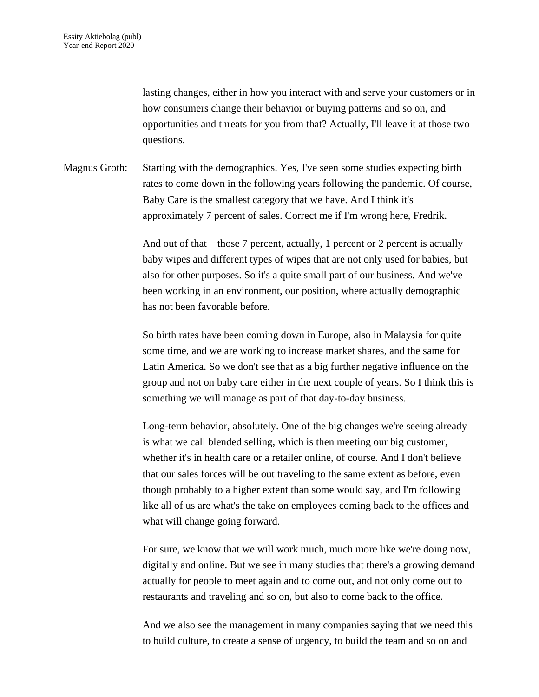lasting changes, either in how you interact with and serve your customers or in how consumers change their behavior or buying patterns and so on, and opportunities and threats for you from that? Actually, I'll leave it at those two questions.

Magnus Groth: Starting with the demographics. Yes, I've seen some studies expecting birth rates to come down in the following years following the pandemic. Of course, Baby Care is the smallest category that we have. And I think it's approximately 7 percent of sales. Correct me if I'm wrong here, Fredrik.

> And out of that – those 7 percent, actually, 1 percent or 2 percent is actually baby wipes and different types of wipes that are not only used for babies, but also for other purposes. So it's a quite small part of our business. And we've been working in an environment, our position, where actually demographic has not been favorable before.

So birth rates have been coming down in Europe, also in Malaysia for quite some time, and we are working to increase market shares, and the same for Latin America. So we don't see that as a big further negative influence on the group and not on baby care either in the next couple of years. So I think this is something we will manage as part of that day-to-day business.

Long-term behavior, absolutely. One of the big changes we're seeing already is what we call blended selling, which is then meeting our big customer, whether it's in health care or a retailer online, of course. And I don't believe that our sales forces will be out traveling to the same extent as before, even though probably to a higher extent than some would say, and I'm following like all of us are what's the take on employees coming back to the offices and what will change going forward.

For sure, we know that we will work much, much more like we're doing now, digitally and online. But we see in many studies that there's a growing demand actually for people to meet again and to come out, and not only come out to restaurants and traveling and so on, but also to come back to the office.

And we also see the management in many companies saying that we need this to build culture, to create a sense of urgency, to build the team and so on and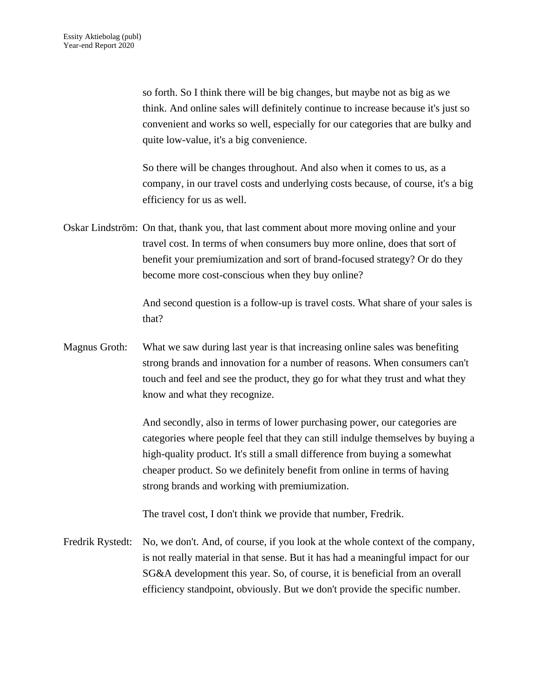so forth. So I think there will be big changes, but maybe not as big as we think. And online sales will definitely continue to increase because it's just so convenient and works so well, especially for our categories that are bulky and quite low-value, it's a big convenience.

So there will be changes throughout. And also when it comes to us, as a company, in our travel costs and underlying costs because, of course, it's a big efficiency for us as well.

Oskar Lindström: On that, thank you, that last comment about more moving online and your travel cost. In terms of when consumers buy more online, does that sort of benefit your premiumization and sort of brand-focused strategy? Or do they become more cost-conscious when they buy online?

> And second question is a follow-up is travel costs. What share of your sales is that?

Magnus Groth: What we saw during last year is that increasing online sales was benefiting strong brands and innovation for a number of reasons. When consumers can't touch and feel and see the product, they go for what they trust and what they know and what they recognize.

> And secondly, also in terms of lower purchasing power, our categories are categories where people feel that they can still indulge themselves by buying a high-quality product. It's still a small difference from buying a somewhat cheaper product. So we definitely benefit from online in terms of having strong brands and working with premiumization.

The travel cost, I don't think we provide that number, Fredrik.

Fredrik Rystedt: No, we don't. And, of course, if you look at the whole context of the company, is not really material in that sense. But it has had a meaningful impact for our SG&A development this year. So, of course, it is beneficial from an overall efficiency standpoint, obviously. But we don't provide the specific number.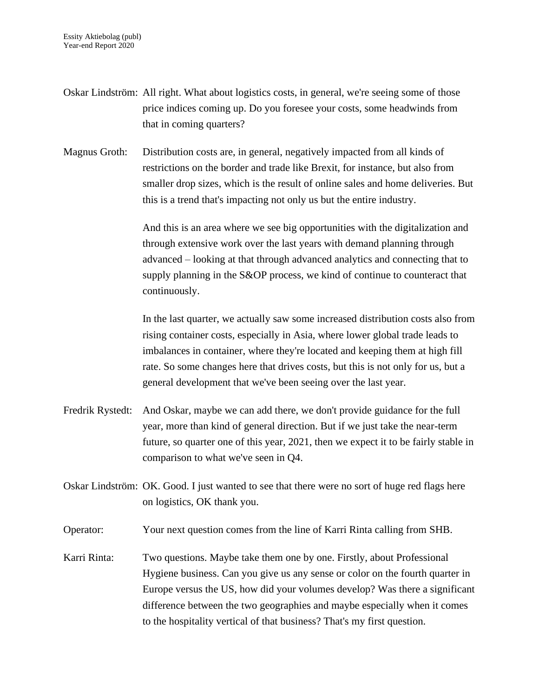- Oskar Lindström: All right. What about logistics costs, in general, we're seeing some of those price indices coming up. Do you foresee your costs, some headwinds from that in coming quarters?
- Magnus Groth: Distribution costs are, in general, negatively impacted from all kinds of restrictions on the border and trade like Brexit, for instance, but also from smaller drop sizes, which is the result of online sales and home deliveries. But this is a trend that's impacting not only us but the entire industry.

And this is an area where we see big opportunities with the digitalization and through extensive work over the last years with demand planning through advanced – looking at that through advanced analytics and connecting that to supply planning in the S&OP process, we kind of continue to counteract that continuously.

In the last quarter, we actually saw some increased distribution costs also from rising container costs, especially in Asia, where lower global trade leads to imbalances in container, where they're located and keeping them at high fill rate. So some changes here that drives costs, but this is not only for us, but a general development that we've been seeing over the last year.

- Fredrik Rystedt: And Oskar, maybe we can add there, we don't provide guidance for the full year, more than kind of general direction. But if we just take the near-term future, so quarter one of this year, 2021, then we expect it to be fairly stable in comparison to what we've seen in Q4.
- Oskar Lindström: OK. Good. I just wanted to see that there were no sort of huge red flags here on logistics, OK thank you.
- Operator: Your next question comes from the line of Karri Rinta calling from SHB.
- Karri Rinta: Two questions. Maybe take them one by one. Firstly, about Professional Hygiene business. Can you give us any sense or color on the fourth quarter in Europe versus the US, how did your volumes develop? Was there a significant difference between the two geographies and maybe especially when it comes to the hospitality vertical of that business? That's my first question.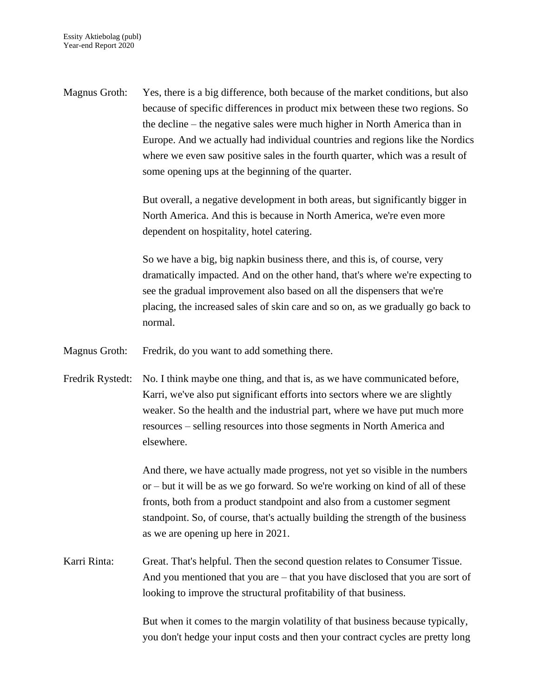Magnus Groth: Yes, there is a big difference, both because of the market conditions, but also because of specific differences in product mix between these two regions. So the decline – the negative sales were much higher in North America than in Europe. And we actually had individual countries and regions like the Nordics where we even saw positive sales in the fourth quarter, which was a result of some opening ups at the beginning of the quarter.

> But overall, a negative development in both areas, but significantly bigger in North America. And this is because in North America, we're even more dependent on hospitality, hotel catering.

So we have a big, big napkin business there, and this is, of course, very dramatically impacted. And on the other hand, that's where we're expecting to see the gradual improvement also based on all the dispensers that we're placing, the increased sales of skin care and so on, as we gradually go back to normal.

Magnus Groth: Fredrik, do you want to add something there.

Fredrik Rystedt: No. I think maybe one thing, and that is, as we have communicated before, Karri, we've also put significant efforts into sectors where we are slightly weaker. So the health and the industrial part, where we have put much more resources – selling resources into those segments in North America and elsewhere.

> And there, we have actually made progress, not yet so visible in the numbers or – but it will be as we go forward. So we're working on kind of all of these fronts, both from a product standpoint and also from a customer segment standpoint. So, of course, that's actually building the strength of the business as we are opening up here in 2021.

Karri Rinta: Great. That's helpful. Then the second question relates to Consumer Tissue. And you mentioned that you are – that you have disclosed that you are sort of looking to improve the structural profitability of that business.

> But when it comes to the margin volatility of that business because typically, you don't hedge your input costs and then your contract cycles are pretty long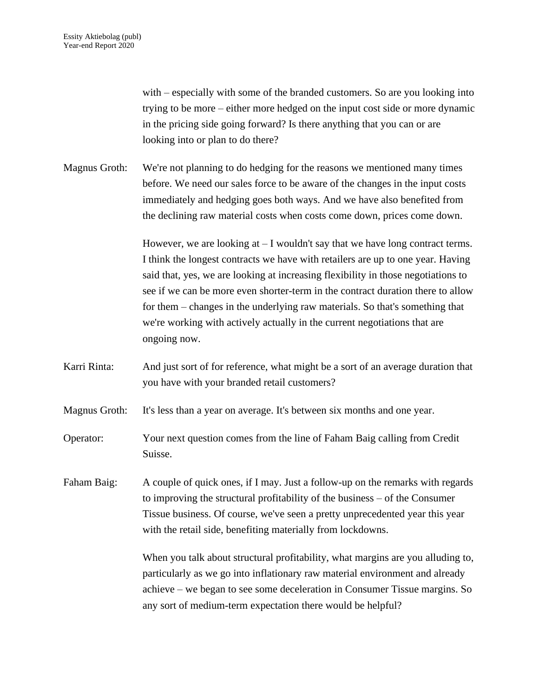with – especially with some of the branded customers. So are you looking into trying to be more – either more hedged on the input cost side or more dynamic in the pricing side going forward? Is there anything that you can or are looking into or plan to do there?

Magnus Groth: We're not planning to do hedging for the reasons we mentioned many times before. We need our sales force to be aware of the changes in the input costs immediately and hedging goes both ways. And we have also benefited from the declining raw material costs when costs come down, prices come down.

> However, we are looking at  $-1$  wouldn't say that we have long contract terms. I think the longest contracts we have with retailers are up to one year. Having said that, yes, we are looking at increasing flexibility in those negotiations to see if we can be more even shorter-term in the contract duration there to allow for them – changes in the underlying raw materials. So that's something that we're working with actively actually in the current negotiations that are ongoing now.

Karri Rinta: And just sort of for reference, what might be a sort of an average duration that you have with your branded retail customers?

Magnus Groth: It's less than a year on average. It's between six months and one year.

Operator: Your next question comes from the line of Faham Baig calling from Credit Suisse.

Faham Baig: A couple of quick ones, if I may. Just a follow-up on the remarks with regards to improving the structural profitability of the business – of the Consumer Tissue business. Of course, we've seen a pretty unprecedented year this year with the retail side, benefiting materially from lockdowns.

> When you talk about structural profitability, what margins are you alluding to, particularly as we go into inflationary raw material environment and already achieve – we began to see some deceleration in Consumer Tissue margins. So any sort of medium-term expectation there would be helpful?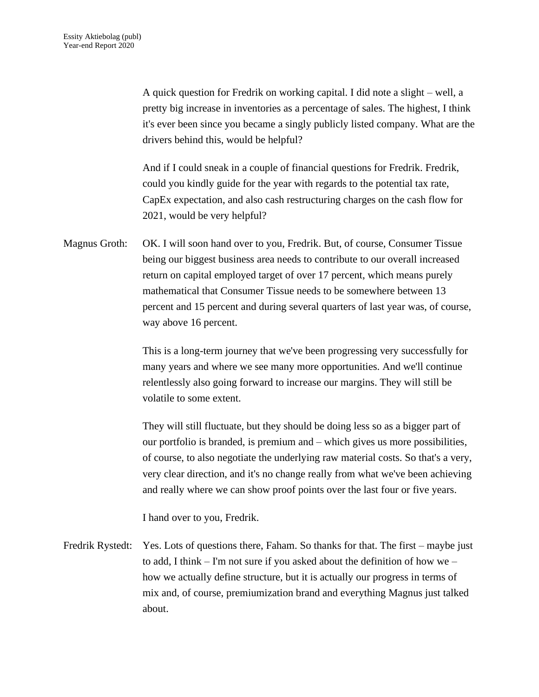A quick question for Fredrik on working capital. I did note a slight – well, a pretty big increase in inventories as a percentage of sales. The highest, I think it's ever been since you became a singly publicly listed company. What are the drivers behind this, would be helpful?

And if I could sneak in a couple of financial questions for Fredrik. Fredrik, could you kindly guide for the year with regards to the potential tax rate, CapEx expectation, and also cash restructuring charges on the cash flow for 2021, would be very helpful?

Magnus Groth: OK. I will soon hand over to you, Fredrik. But, of course, Consumer Tissue being our biggest business area needs to contribute to our overall increased return on capital employed target of over 17 percent, which means purely mathematical that Consumer Tissue needs to be somewhere between 13 percent and 15 percent and during several quarters of last year was, of course, way above 16 percent.

> This is a long-term journey that we've been progressing very successfully for many years and where we see many more opportunities. And we'll continue relentlessly also going forward to increase our margins. They will still be volatile to some extent.

They will still fluctuate, but they should be doing less so as a bigger part of our portfolio is branded, is premium and – which gives us more possibilities, of course, to also negotiate the underlying raw material costs. So that's a very, very clear direction, and it's no change really from what we've been achieving and really where we can show proof points over the last four or five years.

I hand over to you, Fredrik.

Fredrik Rystedt: Yes. Lots of questions there, Faham. So thanks for that. The first – maybe just to add, I think – I'm not sure if you asked about the definition of how we – how we actually define structure, but it is actually our progress in terms of mix and, of course, premiumization brand and everything Magnus just talked about.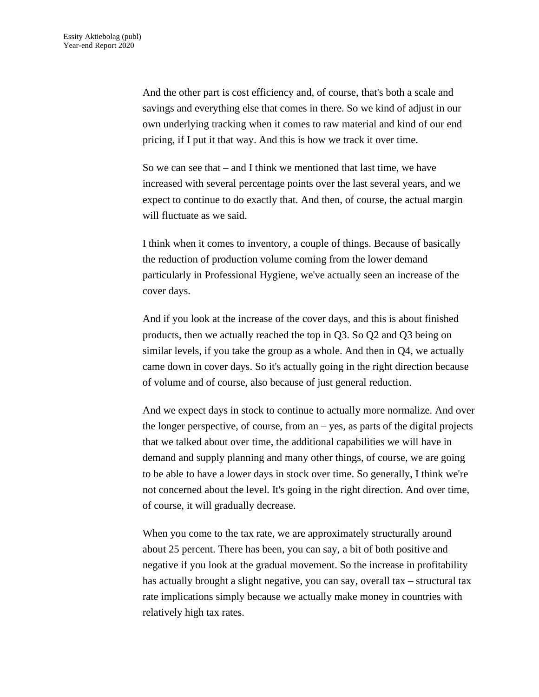And the other part is cost efficiency and, of course, that's both a scale and savings and everything else that comes in there. So we kind of adjust in our own underlying tracking when it comes to raw material and kind of our end pricing, if I put it that way. And this is how we track it over time.

So we can see that – and I think we mentioned that last time, we have increased with several percentage points over the last several years, and we expect to continue to do exactly that. And then, of course, the actual margin will fluctuate as we said.

I think when it comes to inventory, a couple of things. Because of basically the reduction of production volume coming from the lower demand particularly in Professional Hygiene, we've actually seen an increase of the cover days.

And if you look at the increase of the cover days, and this is about finished products, then we actually reached the top in Q3. So Q2 and Q3 being on similar levels, if you take the group as a whole. And then in Q4, we actually came down in cover days. So it's actually going in the right direction because of volume and of course, also because of just general reduction.

And we expect days in stock to continue to actually more normalize. And over the longer perspective, of course, from an – yes, as parts of the digital projects that we talked about over time, the additional capabilities we will have in demand and supply planning and many other things, of course, we are going to be able to have a lower days in stock over time. So generally, I think we're not concerned about the level. It's going in the right direction. And over time, of course, it will gradually decrease.

When you come to the tax rate, we are approximately structurally around about 25 percent. There has been, you can say, a bit of both positive and negative if you look at the gradual movement. So the increase in profitability has actually brought a slight negative, you can say, overall tax – structural tax rate implications simply because we actually make money in countries with relatively high tax rates.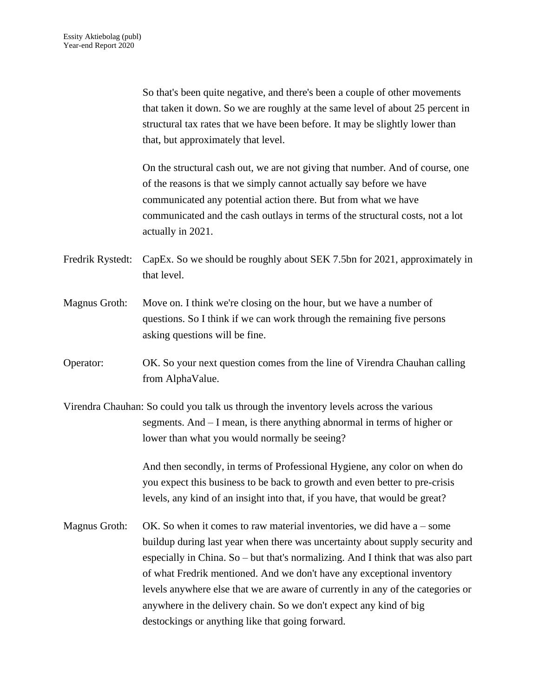So that's been quite negative, and there's been a couple of other movements that taken it down. So we are roughly at the same level of about 25 percent in structural tax rates that we have been before. It may be slightly lower than that, but approximately that level.

On the structural cash out, we are not giving that number. And of course, one of the reasons is that we simply cannot actually say before we have communicated any potential action there. But from what we have communicated and the cash outlays in terms of the structural costs, not a lot actually in 2021.

- Fredrik Rystedt: CapEx. So we should be roughly about SEK 7.5bn for 2021, approximately in that level.
- Magnus Groth: Move on. I think we're closing on the hour, but we have a number of questions. So I think if we can work through the remaining five persons asking questions will be fine.
- Operator: OK. So your next question comes from the line of Virendra Chauhan calling from AlphaValue.
- Virendra Chauhan: So could you talk us through the inventory levels across the various segments. And – I mean, is there anything abnormal in terms of higher or lower than what you would normally be seeing?

And then secondly, in terms of Professional Hygiene, any color on when do you expect this business to be back to growth and even better to pre-crisis levels, any kind of an insight into that, if you have, that would be great?

Magnus Groth: OK. So when it comes to raw material inventories, we did have  $a$  – some buildup during last year when there was uncertainty about supply security and especially in China. So – but that's normalizing. And I think that was also part of what Fredrik mentioned. And we don't have any exceptional inventory levels anywhere else that we are aware of currently in any of the categories or anywhere in the delivery chain. So we don't expect any kind of big destockings or anything like that going forward.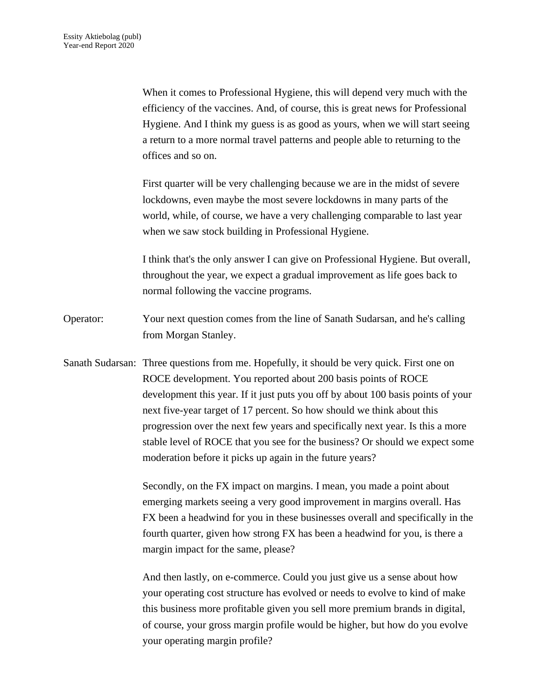When it comes to Professional Hygiene, this will depend very much with the efficiency of the vaccines. And, of course, this is great news for Professional Hygiene. And I think my guess is as good as yours, when we will start seeing a return to a more normal travel patterns and people able to returning to the offices and so on.

First quarter will be very challenging because we are in the midst of severe lockdowns, even maybe the most severe lockdowns in many parts of the world, while, of course, we have a very challenging comparable to last year when we saw stock building in Professional Hygiene.

I think that's the only answer I can give on Professional Hygiene. But overall, throughout the year, we expect a gradual improvement as life goes back to normal following the vaccine programs.

- Operator: Your next question comes from the line of Sanath Sudarsan, and he's calling from Morgan Stanley.
- Sanath Sudarsan: Three questions from me. Hopefully, it should be very quick. First one on ROCE development. You reported about 200 basis points of ROCE development this year. If it just puts you off by about 100 basis points of your next five-year target of 17 percent. So how should we think about this progression over the next few years and specifically next year. Is this a more stable level of ROCE that you see for the business? Or should we expect some moderation before it picks up again in the future years?

Secondly, on the FX impact on margins. I mean, you made a point about emerging markets seeing a very good improvement in margins overall. Has FX been a headwind for you in these businesses overall and specifically in the fourth quarter, given how strong FX has been a headwind for you, is there a margin impact for the same, please?

And then lastly, on e-commerce. Could you just give us a sense about how your operating cost structure has evolved or needs to evolve to kind of make this business more profitable given you sell more premium brands in digital, of course, your gross margin profile would be higher, but how do you evolve your operating margin profile?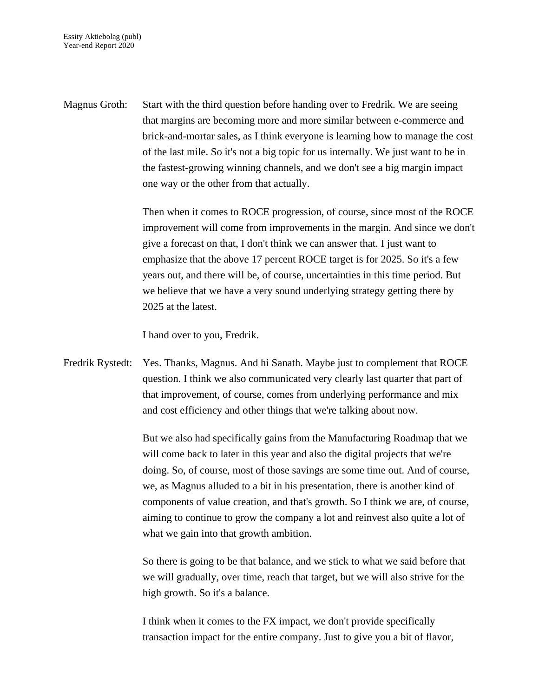Magnus Groth: Start with the third question before handing over to Fredrik. We are seeing that margins are becoming more and more similar between e-commerce and brick-and-mortar sales, as I think everyone is learning how to manage the cost of the last mile. So it's not a big topic for us internally. We just want to be in the fastest-growing winning channels, and we don't see a big margin impact one way or the other from that actually.

> Then when it comes to ROCE progression, of course, since most of the ROCE improvement will come from improvements in the margin. And since we don't give a forecast on that, I don't think we can answer that. I just want to emphasize that the above 17 percent ROCE target is for 2025. So it's a few years out, and there will be, of course, uncertainties in this time period. But we believe that we have a very sound underlying strategy getting there by 2025 at the latest.

I hand over to you, Fredrik.

Fredrik Rystedt: Yes. Thanks, Magnus. And hi Sanath. Maybe just to complement that ROCE question. I think we also communicated very clearly last quarter that part of that improvement, of course, comes from underlying performance and mix and cost efficiency and other things that we're talking about now.

> But we also had specifically gains from the Manufacturing Roadmap that we will come back to later in this year and also the digital projects that we're doing. So, of course, most of those savings are some time out. And of course, we, as Magnus alluded to a bit in his presentation, there is another kind of components of value creation, and that's growth. So I think we are, of course, aiming to continue to grow the company a lot and reinvest also quite a lot of what we gain into that growth ambition.

So there is going to be that balance, and we stick to what we said before that we will gradually, over time, reach that target, but we will also strive for the high growth. So it's a balance.

I think when it comes to the FX impact, we don't provide specifically transaction impact for the entire company. Just to give you a bit of flavor,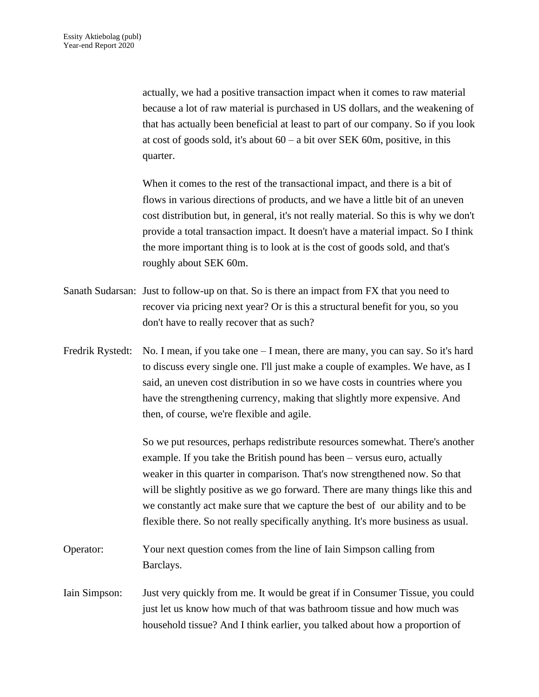actually, we had a positive transaction impact when it comes to raw material because a lot of raw material is purchased in US dollars, and the weakening of that has actually been beneficial at least to part of our company. So if you look at cost of goods sold, it's about  $60 - a$  bit over SEK 60m, positive, in this quarter.

When it comes to the rest of the transactional impact, and there is a bit of flows in various directions of products, and we have a little bit of an uneven cost distribution but, in general, it's not really material. So this is why we don't provide a total transaction impact. It doesn't have a material impact. So I think the more important thing is to look at is the cost of goods sold, and that's roughly about SEK 60m.

- Sanath Sudarsan: Just to follow-up on that. So is there an impact from FX that you need to recover via pricing next year? Or is this a structural benefit for you, so you don't have to really recover that as such?
- Fredrik Rystedt: No. I mean, if you take one I mean, there are many, you can say. So it's hard to discuss every single one. I'll just make a couple of examples. We have, as I said, an uneven cost distribution in so we have costs in countries where you have the strengthening currency, making that slightly more expensive. And then, of course, we're flexible and agile.

So we put resources, perhaps redistribute resources somewhat. There's another example. If you take the British pound has been – versus euro, actually weaker in this quarter in comparison. That's now strengthened now. So that will be slightly positive as we go forward. There are many things like this and we constantly act make sure that we capture the best of our ability and to be flexible there. So not really specifically anything. It's more business as usual.

- Operator: Your next question comes from the line of Iain Simpson calling from Barclays.
- Iain Simpson: Just very quickly from me. It would be great if in Consumer Tissue, you could just let us know how much of that was bathroom tissue and how much was household tissue? And I think earlier, you talked about how a proportion of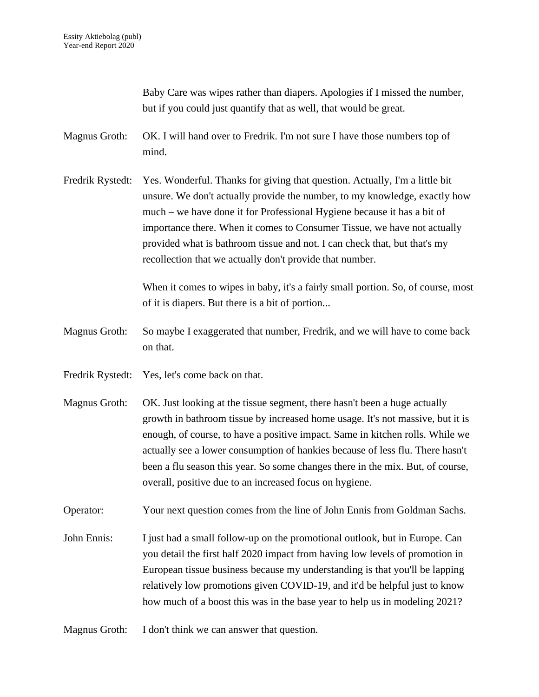Baby Care was wipes rather than diapers. Apologies if I missed the number, but if you could just quantify that as well, that would be great.

- Magnus Groth: OK. I will hand over to Fredrik. I'm not sure I have those numbers top of mind.
- Fredrik Rystedt: Yes. Wonderful. Thanks for giving that question. Actually, I'm a little bit unsure. We don't actually provide the number, to my knowledge, exactly how much – we have done it for Professional Hygiene because it has a bit of importance there. When it comes to Consumer Tissue, we have not actually provided what is bathroom tissue and not. I can check that, but that's my recollection that we actually don't provide that number.

When it comes to wipes in baby, it's a fairly small portion. So, of course, most of it is diapers. But there is a bit of portion...

- Magnus Groth: So maybe I exaggerated that number, Fredrik, and we will have to come back on that.
- Fredrik Rystedt: Yes, let's come back on that.
- Magnus Groth: OK. Just looking at the tissue segment, there hasn't been a huge actually growth in bathroom tissue by increased home usage. It's not massive, but it is enough, of course, to have a positive impact. Same in kitchen rolls. While we actually see a lower consumption of hankies because of less flu. There hasn't been a flu season this year. So some changes there in the mix. But, of course, overall, positive due to an increased focus on hygiene.
- Operator: Your next question comes from the line of John Ennis from Goldman Sachs.
- John Ennis: I just had a small follow-up on the promotional outlook, but in Europe. Can you detail the first half 2020 impact from having low levels of promotion in European tissue business because my understanding is that you'll be lapping relatively low promotions given COVID-19, and it'd be helpful just to know how much of a boost this was in the base year to help us in modeling 2021?
- Magnus Groth: I don't think we can answer that question.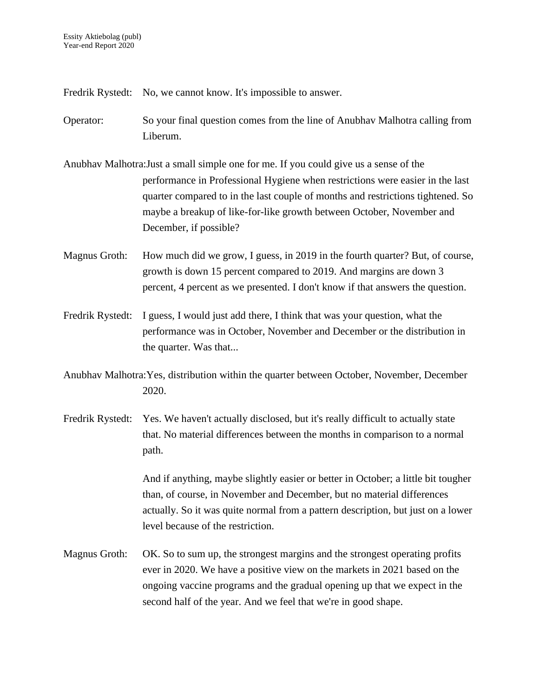Fredrik Rystedt: No, we cannot know. It's impossible to answer.

- Operator: So your final question comes from the line of Anubhav Malhotra calling from Liberum.
- Anubhav Malhotra:Just a small simple one for me. If you could give us a sense of the performance in Professional Hygiene when restrictions were easier in the last quarter compared to in the last couple of months and restrictions tightened. So maybe a breakup of like-for-like growth between October, November and December, if possible?
- Magnus Groth: How much did we grow, I guess, in 2019 in the fourth quarter? But, of course, growth is down 15 percent compared to 2019. And margins are down 3 percent, 4 percent as we presented. I don't know if that answers the question.
- Fredrik Rystedt: I guess, I would just add there, I think that was your question, what the performance was in October, November and December or the distribution in the quarter. Was that...
- Anubhav Malhotra:Yes, distribution within the quarter between October, November, December 2020.
- Fredrik Rystedt: Yes. We haven't actually disclosed, but it's really difficult to actually state that. No material differences between the months in comparison to a normal path.

And if anything, maybe slightly easier or better in October; a little bit tougher than, of course, in November and December, but no material differences actually. So it was quite normal from a pattern description, but just on a lower level because of the restriction.

Magnus Groth: OK. So to sum up, the strongest margins and the strongest operating profits ever in 2020. We have a positive view on the markets in 2021 based on the ongoing vaccine programs and the gradual opening up that we expect in the second half of the year. And we feel that we're in good shape.